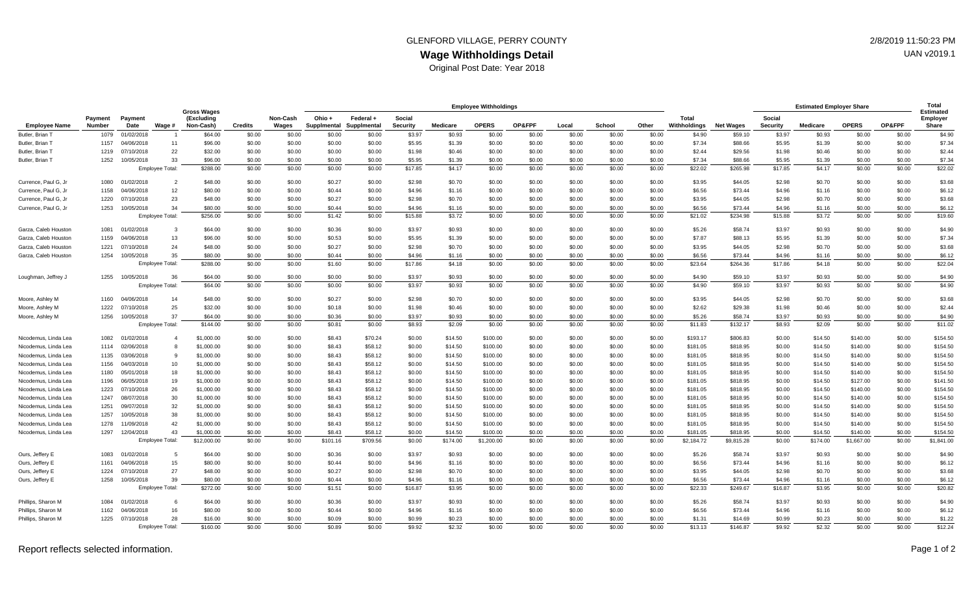## **Wage Withholdings Detail** GLENFORD VILLAGE, PERRY COUNTY **2/8/2019 11:50:23 PM**

Original Post Date: Year 2018

|                      | Payment<br>Number | Payment<br>Date | Wage #                 | <b>Gross Wages</b><br>(Excluding<br>Non-Cash) | <b>Credits</b> | Non-Cash<br>Wages | <b>Employee Withholdings</b> |                          |                    |                 |              |        |        |        |        |                              | <b>Estimated Employer Share</b> |                           |          |              | Total<br>Estimated |                   |
|----------------------|-------------------|-----------------|------------------------|-----------------------------------------------|----------------|-------------------|------------------------------|--------------------------|--------------------|-----------------|--------------|--------|--------|--------|--------|------------------------------|---------------------------------|---------------------------|----------|--------------|--------------------|-------------------|
| <b>Employee Name</b> |                   |                 |                        |                                               |                |                   | Ohio +<br>Supplmental        | Federal +<br>Supplmental | Social<br>Security | <b>Medicare</b> | <b>OPERS</b> | OP&FPF | Local  | School | Other  | <b>Total</b><br>Withholdinas | <b>Net Wages</b>                | Social<br><b>Security</b> | Medicare | <b>OPERS</b> | OP&FPF             | Employer<br>Share |
| Butler, Brian T      | 1079              | 01/02/2018      |                        | \$64.00                                       | \$0.00         | \$0.00            | \$0.00                       | \$0.00                   | \$3.97             | \$0.93          | \$0.00       | \$0.00 | \$0.00 | \$0.00 | \$0.00 | \$4.90                       | \$59.10                         | \$3.97                    | \$0.93   | \$0.00       | \$0.00             | \$4.90            |
| Butler, Brian T      | 1157              | 04/06/2018      | 11                     | \$96.00                                       | \$0.00         | \$0.00            | \$0.00                       | \$0.00                   | \$5.95             | \$1.39          | \$0.00       | \$0.00 | \$0.00 | \$0.00 | \$0.00 | \$7.34                       | \$88.66                         | \$5.95                    | \$1.39   | \$0.00       | \$0.00             | \$7.34            |
| Butler, Brian T      | 1219              | 07/10/2018      | 22                     | \$32.00                                       | \$0.00         | \$0.00            | \$0.00                       | \$0.00                   | \$1.98             | \$0.46          | \$0.00       | \$0.00 | \$0.00 | \$0.00 | \$0.00 | \$2.44                       | \$29.56                         | \$1.98                    | \$0.46   | \$0.00       | \$0.00             | \$2.44            |
| Butler, Brian T      | 1252              | 10/05/2018      | 33                     | \$96.00                                       | \$0.00         | \$0.00            | \$0.00                       | \$0.00                   | \$5.95             | \$1.39          | \$0.00       | \$0.00 | \$0.00 | \$0.00 | \$0.00 | \$7.34                       | \$88.66                         | \$5.95                    | \$1.39   | \$0.00       | \$0.00             | \$7.34            |
|                      |                   |                 | Employee Total:        | \$288.00                                      | \$0.00         | \$0.00            | \$0.00                       | \$0.00                   | \$17.85            | \$4.17          | \$0.00       | \$0.00 | \$0.00 | \$0.00 | \$0.00 | \$22.02                      | \$265.98                        | \$17.85                   | \$4.17   | \$0.00       | \$0.00             | \$22.02           |
| Currence, Paul G, Jr | 1080              | 01/02/2018      | $\overline{2}$         | \$48.00                                       | \$0.00         | \$0.00            | \$0.27                       | \$0.00                   | \$2.98             | \$0.70          | \$0.00       | \$0.00 | \$0.00 | \$0.00 | \$0.00 | \$3.95                       | \$44.05                         | \$2.98                    | \$0.70   | \$0.00       | \$0.00             | \$3.68            |
| Currence, Paul G, Jr | 1158              | 04/06/2018      | 12                     | \$80.00                                       | \$0.00         | \$0.00            | \$0.44                       | \$0.00                   | \$4.96             | \$1.16          | \$0.00       | \$0.00 | \$0.00 | \$0.00 | \$0.00 | \$6.56                       | \$73.44                         | \$4.96                    | \$1.16   | \$0.00       | \$0.00             | \$6.12            |
| Currence, Paul G, Jr | 1220              | 07/10/2018      | 23                     | \$48.00                                       | \$0.00         | \$0.00            | \$0.27                       | \$0.00                   | \$2.98             | \$0.70          | \$0.00       | \$0.00 | \$0.00 | \$0.00 | \$0.00 | \$3.95                       | \$44.05                         | \$2.98                    | \$0.70   | \$0.00       | \$0.00             | \$3.68            |
| Currence, Paul G, Jr | 1253              | 10/05/2018      | 34                     | \$80.00                                       | \$0.00         | \$0.00            | \$0.44                       | \$0.00                   | \$4.96             | \$1.16          | \$0.00       | \$0.00 | \$0.00 | \$0.00 | \$0.00 | \$6.56                       | \$73.44                         | \$4.96                    | \$1.16   | \$0.00       | \$0.00             | \$6.12            |
|                      |                   |                 | Employee Total:        | \$256.00                                      | \$0.00         | \$0.00            | \$1.42                       | \$0.00                   | \$15.88            | \$3.72          | \$0.00       | \$0.00 | \$0.00 | \$0.00 | \$0.00 | \$21.02                      | \$234.98                        | \$15.88                   | \$3.72   | \$0.00       | \$0.00             | \$19.60           |
| Garza, Caleb Houston | 1081              | 01/02/2018      | -3                     | \$64.00                                       | \$0.00         | \$0.00            | \$0.36                       | \$0.00                   | \$3.97             | \$0.93          | \$0.00       | \$0.00 | \$0.00 | \$0.00 | \$0.00 | \$5.26                       | \$58.74                         | \$3.97                    | \$0.93   | \$0.00       | \$0.00             | \$4.90            |
| Garza, Caleb Houston | 1159              | 04/06/2018      | 13                     | \$96.00                                       | \$0.00         | \$0.00            | \$0.53                       | \$0.00                   | \$5.95             | \$1.39          | \$0.00       | \$0.00 | \$0.00 | \$0.00 | \$0.00 | \$7.87                       | \$88.13                         | \$5.95                    | \$1.39   | \$0.00       | \$0.00             | \$7.34            |
| Garza, Caleb Houston | 1221              | 07/10/2018      | 24                     | \$48.00                                       | \$0.00         | \$0.00            | \$0.27                       | \$0.00                   | \$2.98             | \$0.70          | \$0.00       | \$0.00 | \$0.00 | \$0.00 | \$0.00 | \$3.95                       | \$44.05                         | \$2.98                    | \$0.70   | \$0.00       | \$0.00             | \$3.68            |
| Garza, Caleb Houston | 1254              | 10/05/2018      | 35                     | \$80.00                                       | \$0.00         | \$0.00            | \$0.44                       | \$0.00                   | \$4.96             | \$1.16          | \$0.00       | \$0.00 | \$0.00 | \$0.00 | \$0.00 | \$6.56                       | \$73.44                         | \$4.96                    | \$1.16   | \$0.00       | \$0.00             | \$6.12            |
|                      |                   |                 | Employee Total:        | \$288.00                                      | \$0.00         | \$0.00            | \$1.60                       | \$0.00                   | \$17.86            | \$4.18          | \$0.00       | \$0.00 | \$0.00 | \$0.00 | \$0.00 | \$23.64                      | \$264.36                        | \$17.86                   | \$4.18   | \$0.00       | \$0.00             | \$22.04           |
| Loughman, Jeffrey J  | 1255              | 10/05/2018      | 36                     | \$64.00                                       | \$0.00         | \$0.00            | \$0.00                       | \$0.00                   | \$3.97             | \$0.93          | \$0.00       | \$0.00 | \$0.00 | \$0.00 | \$0.00 | \$4.90                       | \$59.10                         | \$3.97                    | \$0.93   | \$0.00       | \$0.00             | \$4.90            |
|                      |                   |                 | Employee Total:        | \$64.00                                       | \$0.00         | \$0.00            | \$0.00                       | \$0.00                   | \$3.97             | \$0.93          | \$0.00       | \$0.00 | \$0.00 | \$0.00 | \$0.00 | \$4.90                       | \$59.10                         | \$3.97                    | \$0.93   | \$0.00       | \$0.00             | \$4.90            |
| Moore, Ashley M      | 1160              | 04/06/2018      | 14                     | \$48.00                                       | \$0.00         | \$0.00            | \$0.27                       | \$0.00                   | \$2.98             | \$0.70          | \$0.00       | \$0.00 | \$0.00 | \$0.00 | \$0.00 | \$3.95                       | \$44.05                         | \$2.98                    | \$0.70   | \$0.00       | \$0.00             | \$3.68            |
| Moore, Ashley M      | 1222              | 10/2018         | 25                     | \$32.00                                       | \$0.00         | \$0.00            | \$0.18                       | \$0.00                   | \$1.98             | \$0.46          | \$0.00       | \$0.00 | \$0.00 | \$0.00 | \$0.00 | \$2.62                       | \$29.38                         | \$1.98                    | \$0.46   | \$0.00       | \$0.00             | \$2.44            |
| Moore, Ashley M      | 1256              | 10/05/2018      | 37                     | \$64.00                                       | \$0.00         | \$0.00            | \$0.36                       | \$0.00                   | \$3.97             | \$0.93          | \$0.00       | \$0.00 | \$0.00 | \$0.00 | \$0.00 | \$5.26                       | \$58.74                         | \$3.97                    | \$0.93   | \$0.00       | \$0.00             | \$4.90            |
|                      |                   |                 | <b>Employee Total:</b> | \$144.00                                      | \$0.00         | \$0.00            | \$0.81                       | \$0.00                   | \$8.93             | \$2.09          | \$0.00       | \$0.00 | \$0.00 | \$0.00 | \$0.00 | \$11.83                      | \$132.17                        | \$8.93                    | \$2.09   | \$0.00       | \$0.00             | \$11.02           |
| Nicodemus, Linda Lea | 1082              | 01/02/2018      | $\overline{4}$         | \$1,000.00                                    | \$0.00         | \$0.00            | \$8.43                       | \$70.24                  | \$0.00             | \$14.50         | \$100.00     | \$0.00 | \$0.00 | \$0.00 | \$0.00 | \$193.17                     | \$806.83                        | \$0.00                    | \$14.50  | \$140.00     | \$0.00             | \$154.50          |
| Nicodemus, Linda Lea | 1114              | 02/06/2018      | 8                      | \$1,000.00                                    | \$0.00         | \$0.00            | \$8.43                       | \$58.12                  | \$0.00             | \$14.50         | \$100.00     | \$0.00 | \$0.00 | \$0.00 | \$0.00 | \$181.05                     | \$818.95                        | \$0.00                    | \$14.50  | \$140.00     | \$0.00             | \$154.50          |
| Nicodemus, Linda Lea | 1135              | 03/06/2018      | 9                      | \$1,000.00                                    | \$0.00         | \$0.00            | \$8.43                       | \$58.12                  | \$0.00             | \$14.50         | \$100.00     | \$0.00 | \$0.00 | \$0.00 | \$0.00 | \$181.05                     | \$818.95                        | \$0.00                    | \$14.50  | \$140.00     | \$0.00             | \$154.50          |
| Nicodemus, Linda Lea | 1156              | 04/03/2018      | 10                     | \$1,000.00                                    | \$0.00         | \$0.00            | \$8.43                       | \$58.12                  | \$0.00             | \$14.50         | \$100.00     | \$0.00 | \$0.00 | \$0.00 | \$0.00 | \$181.05                     | \$818.95                        | \$0.00                    | \$14.50  | \$140.00     | \$0.00             | \$154.50          |
| Nicodemus, Linda Lea | 1180              | 05/01/2018      | 18                     | \$1,000.00                                    | \$0.00         | \$0.00            | \$8.43                       | \$58.12                  | \$0.00             | \$14.50         | \$100.00     | \$0.00 | \$0.00 | \$0.00 | \$0.00 | \$181.05                     | \$818.95                        | \$0.00                    | \$14.50  | \$140.00     | \$0.00             | \$154.50          |
| Nicodemus, Linda Lea | 1196              | 06/05/2018      | 19                     | \$1,000.00                                    | \$0.00         | \$0.00            | \$8.43                       | \$58.12                  | \$0.00             | \$14.50         | \$100.00     | \$0.00 | \$0.00 | \$0.00 | \$0.00 | \$181.05                     | \$818.95                        | \$0.00                    | \$14.50  | \$127.00     | \$0.00             | \$141.50          |
| Nicodemus, Linda Lea | 1223              | 07/10/2018      | 26                     | \$1,000.00                                    | \$0.00         | \$0.00            | \$8.43                       | \$58.12                  | \$0.00             | \$14.50         | \$100.00     | \$0.00 | \$0.00 | \$0.00 | \$0.00 | \$181.05                     | \$818.95                        | \$0.00                    | \$14.50  | \$140.00     | \$0.00             | \$154.50          |
| Nicodemus, Linda Lea | 1247              | 08/07/2018      | 30                     | \$1,000.00                                    | \$0.00         | \$0.00            | \$8.43                       | \$58.12                  | \$0.00             | \$14.50         | \$100.00     | \$0.00 | \$0.00 | \$0.00 | \$0.00 | \$181.05                     | \$818.95                        | \$0.00                    | \$14.50  | \$140.00     | \$0.00             | \$154.50          |
| Nicodemus, Linda Lea | 1251              | 09/07/2018      | 32                     | \$1,000.00                                    | \$0.00         | \$0.00            | \$8.43                       | \$58.12                  | \$0.00             | \$14.50         | \$100.00     | \$0.00 | \$0.00 | \$0.00 | \$0.00 | \$181.05                     | \$818.95                        | \$0.00                    | \$14.50  | \$140.00     | \$0.00             | \$154.50          |
| Nicodemus, Linda Lea | 1257              | 10/05/2018      | 38                     | \$1,000.00                                    | \$0.00         | \$0.00            | \$8.43                       | \$58.12                  | \$0.00             | \$14.50         | \$100.00     | \$0.00 | \$0.00 | \$0.00 | \$0.00 | \$181.05                     | \$818.95                        | \$0.00                    | \$14.50  | \$140.00     | \$0.00             | \$154.50          |
| Nicodemus, Linda Lea | 1278              | 1/09/2018       | 42                     | \$1,000.00                                    | \$0.00         | \$0.00            | \$8.43                       | \$58.12                  | \$0.00             | \$14.50         | \$100.00     | \$0.00 | \$0.00 | \$0.00 | \$0.00 | \$181.05                     | \$818.95                        | \$0.00                    | \$14.50  | \$140.00     | \$0.00             | \$154.50          |
| Nicodemus, Linda Lea | 1297              | 12/04/2018      | 43                     | \$1,000.00                                    | \$0.00         | \$0.00            | \$8.43                       | \$58.12                  | \$0.00             | \$14.50         | \$100.00     | \$0.00 | \$0.00 | \$0.00 | \$0.00 | \$181.05                     | \$818.95                        | \$0.00                    | \$14.50  | \$140.00     | \$0.00             | \$154.50          |
|                      |                   |                 | Employee Total:        | \$12,000.00                                   | \$0.00         | \$0.00            | \$101.16                     | \$709.56                 | \$0.00             | \$174.00        | \$1,200.00   | \$0.00 | \$0.00 | \$0.00 | \$0.00 | \$2,184.72                   | \$9,815.28                      | \$0.00                    | \$174.00 | \$1,667.00   | \$0.00             | \$1,841.00        |
| Ours, Jeffery E      | 1083              | 01/02/2018      | 5                      | \$64.00                                       | \$0.00         | \$0.00            | \$0.36                       | \$0.00                   | \$3.97             | \$0.93          | \$0.00       | \$0.00 | \$0.00 | \$0.00 | \$0.00 | \$5.26                       | \$58.74                         | \$3.97                    | \$0.93   | \$0.00       | \$0.00             | \$4.90            |
| Ours, Jeffery E      | 1161              | 04/06/2018      | 15                     | \$80.00                                       | \$0.00         | \$0.00            | \$0.44                       | \$0.00                   | \$4.96             | \$1.16          | \$0.00       | \$0.00 | \$0.00 | \$0.00 | \$0.00 | \$6.56                       | \$73.44                         | \$4.96                    | \$1.16   | \$0.00       | \$0.00             | \$6.12            |
| Ours, Jeffery E      | 1224              | 07/10/2018      | 27                     | \$48.00                                       | \$0.00         | \$0.00            | \$0.27                       | \$0.00                   | \$2.98             | \$0.70          | \$0.00       | \$0.00 | \$0.00 | \$0.00 | \$0.00 | \$3.95                       | \$44.05                         | \$2.98                    | \$0.70   | \$0.00       | \$0.00             | \$3.68            |
| Ours, Jeffery E      | 1258              | 10/05/2018      | 39                     | \$80.00                                       | \$0.00         | \$0.00            | \$0.44                       | \$0.00                   | \$4.96             | \$1.16          | \$0.00       | \$0.00 | \$0.00 | \$0.00 | \$0.00 | \$6.56                       | \$73.44                         | \$4.96                    | \$1.16   | \$0.00       | \$0.00             | \$6.12            |
|                      |                   |                 | Employee Total:        | \$272.00                                      | \$0.00         | \$0.00            | \$1.51                       | \$0.00                   | \$16.87            | \$3.95          | \$0.00       | \$0.00 | \$0.00 | \$0.00 | \$0.00 | \$22.33                      | \$249.67                        | \$16.87                   | \$3.95   | \$0.00       | \$0.00             | \$20.82           |
| Phillips, Sharon M   | 1084              | /02/2018        | 6                      | \$64.00                                       | \$0.00         | \$0.00            | \$0.36                       | \$0.00                   | \$3.97             | \$0.93          | \$0.00       | \$0.00 | \$0.00 | \$0.00 | \$0.00 | \$5.26                       | \$58.74                         | \$3.97                    | \$0.93   | \$0.00       | \$0.00             | \$4.90            |
| Phillips, Sharon M   | 1162              | 04/06/2018      | 16                     | \$80.00                                       | \$0.00         | \$0.00            | \$0.44                       | \$0.00                   | \$4.96             | \$1.16          | \$0.00       | \$0.00 | \$0.00 | \$0.00 | \$0.00 | \$6.56                       | \$73.44                         | \$4.96                    | \$1.16   | \$0.00       | \$0.00             | \$6.12            |
| Phillips, Sharon M   | 1225              | 07/10/2018      | 28                     | \$16.00                                       | \$0.00         | \$0.00            | \$0.09                       | \$0.00                   | \$0.99             | \$0.23          | \$0.00       | \$0.00 | \$0.00 | \$0.00 | \$0.00 | \$1.31                       | \$14.69                         | \$0.99                    | \$0.23   | \$0.00       | \$0.00             | \$1.22            |
|                      |                   |                 | Employee Total:        | \$160.00                                      | \$0.00         | \$0.00            | \$0.89                       | \$0.00                   | \$9.92             | \$2.32          | \$0.00       | \$0.00 | \$0.00 | \$0.00 | \$0.00 | \$13.13                      | \$146.87                        | \$9.92                    | \$2.32   | \$0.00       | \$0.00             | \$12.24           |